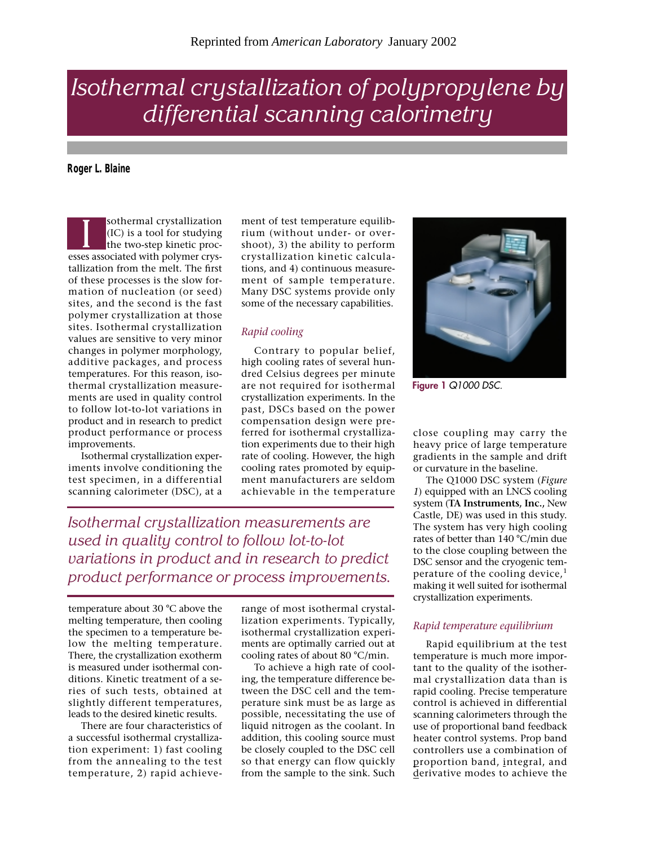# *Isothermal crystallization of polypropylene by differential scanning calorimetry*

**Roger L. Blaine**

sothermal crystallization (IC) is a tool for studying the two-step kinetic procsothermal crystallization<br>(IC) is a tool for studying<br>the two-step kinetic proc-<br>esses associated with polymer crystallization from the melt. The first of these processes is the slow formation of nucleation (or seed) sites, and the second is the fast polymer crystallization at those sites. Isothermal crystallization values are sensitive to very minor changes in polymer morphology, additive packages, and process temperatures. For this reason, isothermal crystallization measurements are used in quality control to follow lot-to-lot variations in product and in research to predict product performance or process improvements.

Isothermal crystallization experiments involve conditioning the test specimen, in a differential scanning calorimeter (DSC), at a

ment of test temperature equilibrium (without under- or overshoot), 3) the ability to perform crystallization kinetic calculations, and 4) continuous measurement of sample temperature. Many DSC systems provide only some of the necessary capabilities.

## *Rapid cooling*

Contrary to popular belief, high cooling rates of several hundred Celsius degrees per minute are not required for isothermal crystallization experiments. In the past, DSCs based on the power compensation design were preferred for isothermal crystallization experiments due to their high rate of cooling. However, the high cooling rates promoted by equipment manufacturers are seldom achievable in the temperature

*Isothermal crystallization measurements are used in quality control to follow lot-to-lot variations in product and in research to predict product performance or process improvements.*

temperature about 30 °C above the melting temperature, then cooling the specimen to a temperature below the melting temperature. There, the crystallization exotherm is measured under isothermal conditions. Kinetic treatment of a series of such tests, obtained at slightly different temperatures, leads to the desired kinetic results.

There are four characteristics of a successful isothermal crystallization experiment: 1) fast cooling from the annealing to the test temperature, 2) rapid achieve-

range of most isothermal crystallization experiments. Typically, isothermal crystallization experiments are optimally carried out at cooling rates of about 80 °C/min.

To achieve a high rate of cooling, the temperature difference between the DSC cell and the temperature sink must be as large as possible, necessitating the use of liquid nitrogen as the coolant. In addition, this cooling source must be closely coupled to the DSC cell so that energy can flow quickly from the sample to the sink. Such



**Figure 1** *Q1000 DSC.*

close coupling may carry the heavy price of large temperature gradients in the sample and drift or curvature in the baseline.

The Q1000 DSC system (*Figure 1*) equipped with an LNCS cooling system (**TA Instruments, Inc.,** New Castle, DE) was used in this study. The system has very high cooling rates of better than 140 °C/min due to the close coupling between the DSC sensor and the cryogenic temperature of the cooling device, $<sup>1</sup>$ </sup> making it well suited for isothermal crystallization experiments.

### *Rapid temperature equilibrium*

Rapid equilibrium at the test temperature is much more important to the quality of the isothermal crystallization data than is rapid cooling. Precise temperature control is achieved in differential scanning calorimeters through the use of proportional band feedback heater control systems. Prop band controllers use a combination of proportion band, integral, and derivative modes to achieve the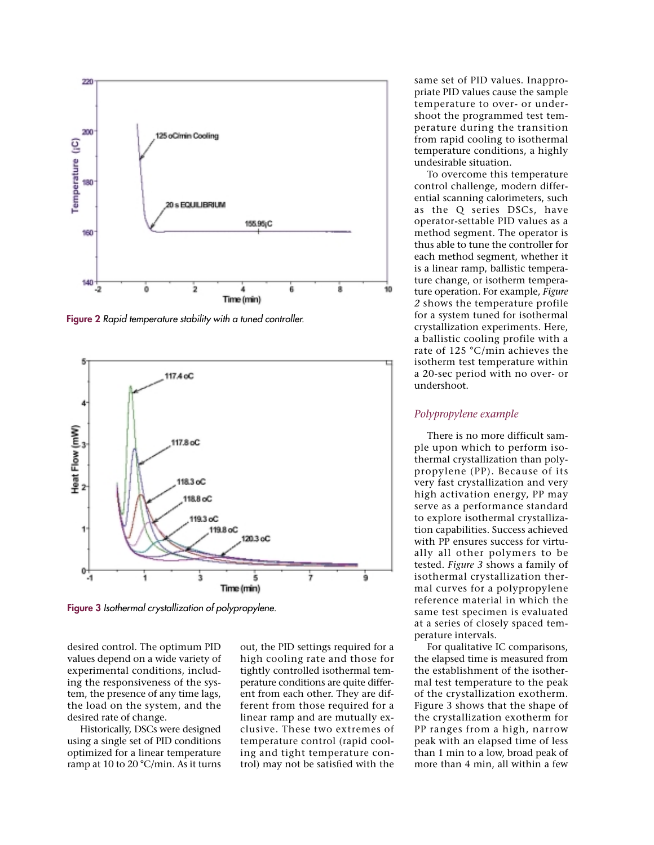

**Figure 2** *Rapid temperature stability with a tuned controller.*



**Figure 3** *Isothermal crystallization of polypropylene.*

desired control. The optimum PID values depend on a wide variety of experimental conditions, including the responsiveness of the system, the presence of any time lags, the load on the system, and the desired rate of change.

Historically, DSCs were designed using a single set of PID conditions optimized for a linear temperature ramp at 10 to 20 °C/min. As it turns out, the PID settings required for a high cooling rate and those for tightly controlled isothermal temperature conditions are quite different from each other. They are different from those required for a linear ramp and are mutually exclusive. These two extremes of temperature control (rapid cooling and tight temperature control) may not be satisfied with the

same set of PID values. Inappropriate PID values cause the sample temperature to over- or undershoot the programmed test temperature during the transition from rapid cooling to isothermal temperature conditions, a highly undesirable situation.

To overcome this temperature control challenge, modern differential scanning calorimeters, such as the Q series DSCs, have operator-settable PID values as a method segment. The operator is thus able to tune the controller for each method segment, whether it is a linear ramp, ballistic temperature change, or isotherm temperature operation. For example, *Figure 2* shows the temperature profile for a system tuned for isothermal crystallization experiments. Here, a ballistic cooling profile with a rate of 125 °C/min achieves the isotherm test temperature within a 20-sec period with no over- or undershoot.

#### *Polypropylene example*

There is no more difficult sample upon which to perform isothermal crystallization than polypropylene (PP). Because of its very fast crystallization and very high activation energy, PP may serve as a performance standard to explore isothermal crystallization capabilities. Success achieved with PP ensures success for virtually all other polymers to be tested. *Figure 3* shows a family of isothermal crystallization thermal curves for a polypropylene reference material in which the same test specimen is evaluated at a series of closely spaced temperature intervals.

For qualitative IC comparisons, the elapsed time is measured from the establishment of the isothermal test temperature to the peak of the crystallization exotherm. Figure 3 shows that the shape of the crystallization exotherm for PP ranges from a high, narrow peak with an elapsed time of less than 1 min to a low, broad peak of more than 4 min, all within a few